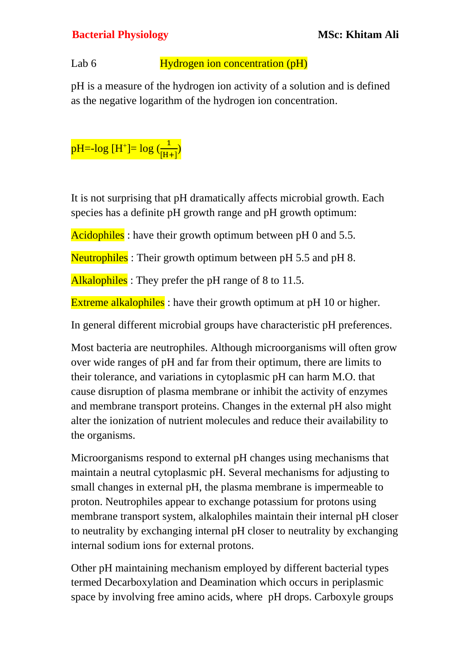## **Bacterial Physiology MSc: Khitam Ali**

## Lab 6 **Hydrogen** ion concentration (pH)

pH is a measure of the hydrogen ion activity of a solution and is defined as the negative logarithm of the hydrogen ion concentration.



It is not surprising that pH dramatically affects microbial growth. Each species has a definite pH growth range and pH growth optimum:

Acidophiles: have their growth optimum between pH 0 and 5.5.

Neutrophiles: Their growth optimum between pH 5.5 and pH 8.

Alkalophiles : They prefer the pH range of 8 to 11.5.

Extreme alkalophiles: have their growth optimum at pH 10 or higher.

In general different microbial groups have characteristic pH preferences.

Most bacteria are neutrophiles. Although microorganisms will often grow over wide ranges of pH and far from their optimum, there are limits to their tolerance, and variations in cytoplasmic pH can harm M.O. that cause disruption of plasma membrane or inhibit the activity of enzymes and membrane transport proteins. Changes in the external pH also might alter the ionization of nutrient molecules and reduce their availability to the organisms.

Microorganisms respond to external pH changes using mechanisms that maintain a neutral cytoplasmic pH. Several mechanisms for adjusting to small changes in external pH, the plasma membrane is impermeable to proton. Neutrophiles appear to exchange potassium for protons using membrane transport system, alkalophiles maintain their internal pH closer to neutrality by exchanging internal pH closer to neutrality by exchanging internal sodium ions for external protons.

Other pH maintaining mechanism employed by different bacterial types termed Decarboxylation and Deamination which occurs in periplasmic space by involving free amino acids, where pH drops. Carboxyle groups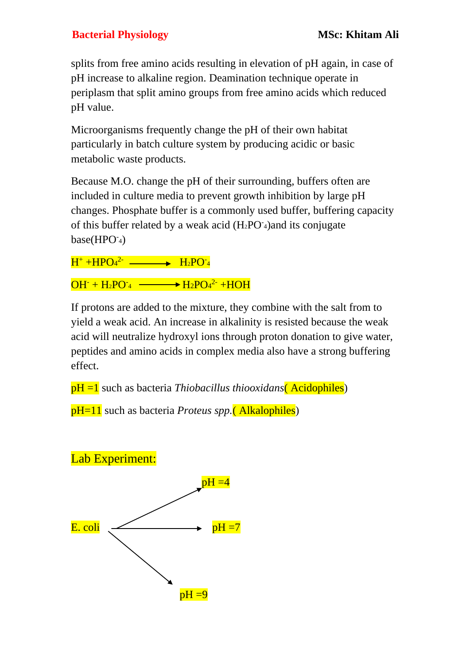## **Bacterial Physiology MSc: Khitam Ali**

splits from free amino acids resulting in elevation of pH again, in case of pH increase to alkaline region. Deamination technique operate in periplasm that split amino groups from free amino acids which reduced pH value.

Microorganisms frequently change the pH of their own habitat particularly in batch culture system by producing acidic or basic metabolic waste products.

Because M.O. change the pH of their surrounding, buffers often are included in culture media to prevent growth inhibition by large pH changes. Phosphate buffer is a commonly used buffer, buffering capacity of this buffer related by a weak acid  $(H_2PO_4)$  and its conjugate base(HPO-4)

 $\text{H}^+$ +HPO<sub>4</sub><sup>2-</sup> ————> H<sub>2</sub>PO<sup>-</sup>4

 $OH^- + H_2PO^-_4 \longrightarrow H_2PO_4^2^- + HOH$ 

If protons are added to the mixture, they combine with the salt from to yield a weak acid. An increase in alkalinity is resisted because the weak acid will neutralize hydroxyl ions through proton donation to give water, peptides and amino acids in complex media also have a strong buffering effect.

pH =1 such as bacteria *Thiobacillus thiooxidans*( Acidophiles)

pH=11 such as bacteria *Proteus spp.*( Alkalophiles)